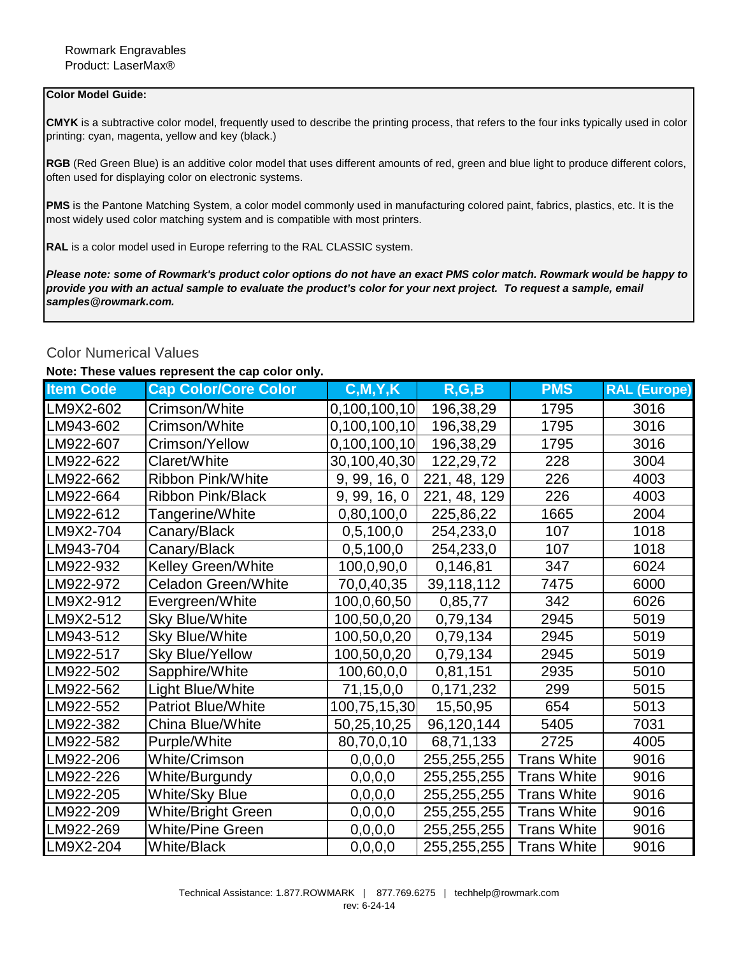## **Color Model Guide:**

**CMYK** is a subtractive color model, frequently used to describe the printing process, that refers to the four inks typically used in color printing: cyan, magenta, yellow and key (black.)

**RGB** (Red Green Blue) is an additive color model that uses different amounts of red, green and blue light to produce different colors, often used for displaying color on electronic systems.

**PMS** is the Pantone Matching System, a color model commonly used in manufacturing colored paint, fabrics, plastics, etc. It is the most widely used color matching system and is compatible with most printers.

**RAL** is a color model used in Europe referring to the RAL CLASSIC system.

*Please note: some of Rowmark's product color options do not have an exact PMS color match. Rowmark would be happy to provide you with an actual sample to evaluate the product's color for your next project. To request a sample, email samples@rowmark.com.* 

## Color Numerical Values

## **Note: These values represent the cap color only.**

| <b>Item Code</b> | <b>Cap Color/Core Color</b> | C, M, Y, K                 | R, G, B      | <b>PMS</b>         | <b>RAL (Europe)</b> |
|------------------|-----------------------------|----------------------------|--------------|--------------------|---------------------|
| LM9X2-602        | Crimson/White               | 0,100,100,10               | 196,38,29    | 1795               | 3016                |
| LM943-602        | Crimson/White               | 0,100,100,10               | 196,38,29    | 1795               | 3016                |
| LM922-607        | Crimson/Yellow              | 0,100,100,10               | 196,38,29    | 1795               | 3016                |
| LM922-622        | Claret/White                | 30,100,40,30               | 122,29,72    | 228                | 3004                |
| LM922-662        | Ribbon Pink/White           | $\overline{9}$ , 99, 16, 0 | 221, 48, 129 | 226                | 4003                |
| LM922-664        | Ribbon Pink/Black           | 9, 99, 16, 0               | 221, 48, 129 | 226                | 4003                |
| LM922-612        | Tangerine/White             | 0,80,100,0                 | 225,86,22    | 1665               | 2004                |
| LM9X2-704        | Canary/Black                | 0,5,100,0                  | 254,233,0    | 107                | 1018                |
| LM943-704        | Canary/Black                | 0,5,100,0                  | 254,233,0    | 107                | 1018                |
| LM922-932        | <b>Kelley Green/White</b>   | 100,0,90,0                 | 0,146,81     | 347                | 6024                |
| LM922-972        | <b>Celadon Green/White</b>  | 70,0,40,35                 | 39,118,112   | 7475               | 6000                |
| LM9X2-912        | Evergreen/White             | 100,0,60,50                | 0,85,77      | 342                | 6026                |
| LM9X2-512        | <b>Sky Blue/White</b>       | 100,50,0,20                | 0,79,134     | 2945               | 5019                |
| LM943-512        | <b>Sky Blue/White</b>       | 100,50,0,20                | 0,79,134     | 2945               | 5019                |
| LM922-517        | <b>Sky Blue/Yellow</b>      | 100,50,0,20                | 0,79,134     | 2945               | 5019                |
| LM922-502        | Sapphire/White              | 100,60,0,0                 | 0,81,151     | 2935               | 5010                |
| LM922-562        | Light Blue/White            | 71,15,0,0                  | 0,171,232    | 299                | 5015                |
| LM922-552        | <b>Patriot Blue/White</b>   | 100,75,15,30               | 15,50,95     | 654                | 5013                |
| LM922-382        | China Blue/White            | 50,25,10,25                | 96,120,144   | 5405               | 7031                |
| LM922-582        | Purple/White                | 80,70,0,10                 | 68,71,133    | 2725               | 4005                |
| LM922-206        | <b>White/Crimson</b>        | 0, 0, 0, 0                 | 255,255,255  | <b>Trans White</b> | 9016                |
| LM922-226        | White/Burgundy              | 0, 0, 0, 0                 | 255,255,255  | <b>Trans White</b> | 9016                |
| LM922-205        | <b>White/Sky Blue</b>       | 0, 0, 0, 0                 | 255,255,255  | <b>Trans White</b> | 9016                |
| LM922-209        | White/Bright Green          | 0, 0, 0, 0                 | 255,255,255  | <b>Trans White</b> | 9016                |
| LM922-269        | <b>White/Pine Green</b>     | 0, 0, 0, 0                 | 255,255,255  | <b>Trans White</b> | 9016                |
| LM9X2-204        | <b>White/Black</b>          | 0,0,0,0                    | 255,255,255  | <b>Trans White</b> | 9016                |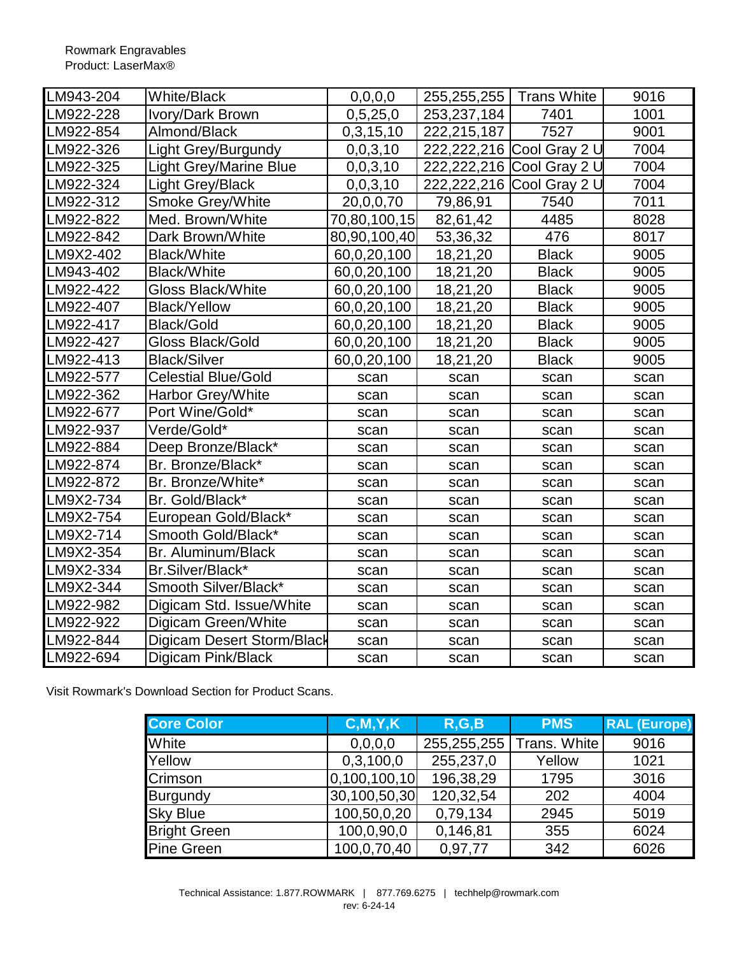| LM943-204 | <b>White/Black</b>            | 0, 0, 0, 0   | 255,255,255   Trans White |                           | 9016 |
|-----------|-------------------------------|--------------|---------------------------|---------------------------|------|
| LM922-228 | Ivory/Dark Brown              | 0,5,25,0     | 253,237,184               | 7401                      | 1001 |
| LM922-854 | Almond/Black                  | 0,3,15,10    | 222,215,187               | 7527                      | 9001 |
| LM922-326 | Light Grey/Burgundy           | 0,0,3,10     |                           | 222,222,216 Cool Gray 2 U | 7004 |
| LM922-325 | <b>Light Grey/Marine Blue</b> | 0,0,3,10     |                           | 222,222,216 Cool Gray 2 U | 7004 |
| LM922-324 | <b>Light Grey/Black</b>       | 0,0,3,10     |                           | 222,222,216 Cool Gray 2 U | 7004 |
| LM922-312 | <b>Smoke Grey/White</b>       | 20,0,0,70    | 79,86,91                  | 7540                      | 7011 |
| LM922-822 | Med. Brown/White              | 70,80,100,15 | 82,61,42                  | 4485                      | 8028 |
| LM922-842 | Dark Brown/White              | 80,90,100,40 | 53,36,32                  | 476                       | 8017 |
| LM9X2-402 | <b>Black/White</b>            | 60,0,20,100  | 18,21,20                  | <b>Black</b>              | 9005 |
| LM943-402 | <b>Black/White</b>            | 60,0,20,100  | 18,21,20                  | <b>Black</b>              | 9005 |
| LM922-422 | <b>Gloss Black/White</b>      | 60,0,20,100  | 18,21,20                  | <b>Black</b>              | 9005 |
| LM922-407 | <b>Black/Yellow</b>           | 60,0,20,100  | 18,21,20                  | <b>Black</b>              | 9005 |
| LM922-417 | <b>Black/Gold</b>             | 60,0,20,100  | 18,21,20                  | <b>Black</b>              | 9005 |
| LM922-427 | Gloss Black/Gold              | 60,0,20,100  | 18,21,20                  | <b>Black</b>              | 9005 |
| LM922-413 | <b>Black/Silver</b>           | 60,0,20,100  | 18,21,20                  | <b>Black</b>              | 9005 |
| LM922-577 | <b>Celestial Blue/Gold</b>    | scan         | scan                      | scan                      | scan |
| LM922-362 | Harbor Grey/White             | scan         | scan                      | scan                      | scan |
| LM922-677 | Port Wine/Gold*               | scan         | scan                      | scan                      | scan |
| LM922-937 | Verde/Gold*                   | scan         | scan                      | scan                      | scan |
| LM922-884 | Deep Bronze/Black*            | scan         | scan                      | scan                      | scan |
| LM922-874 | Br. Bronze/Black*             | scan         | scan                      | scan                      | scan |
| LM922-872 | Br. Bronze/White*             | scan         | scan                      | scan                      | scan |
| LM9X2-734 | Br. Gold/Black*               | scan         | scan                      | scan                      | scan |
| LM9X2-754 | European Gold/Black*          | scan         | scan                      | scan                      | scan |
| LM9X2-714 | Smooth Gold/Black*            | scan         | scan                      | scan                      | scan |
| LM9X2-354 | Br. Aluminum/Black            | scan         | scan                      | scan                      | scan |
| LM9X2-334 | Br.Silver/Black*              | scan         | scan                      | scan                      | scan |
| LM9X2-344 | Smooth Silver/Black*          | scan         | scan                      | scan                      | scan |
| LM922-982 | Digicam Std. Issue/White      | scan         | scan                      | scan                      | scan |
| LM922-922 | Digicam Green/White           | scan         | scan                      | scan                      | scan |
| LM922-844 | Digicam Desert Storm/Black    | scan         | scan                      | scan                      | scan |
| LM922-694 | Digicam Pink/Black            | scan         | scan                      | scan                      | scan |

Visit Rowmark's Download Section for Product Scans.

| <b>Core Color</b>   | C, M, Y, K   | R, G, B     | <b>PMS</b>   | <b>RAL (Europe)</b> |
|---------------------|--------------|-------------|--------------|---------------------|
| White               | 0,0,0,0      | 255,255,255 | Trans. White | 9016                |
| Yellow              | 0,3,100,0    | 255,237,0   | Yellow       | 1021                |
| <b>Crimson</b>      | 0,100,100,10 | 196,38,29   | 1795         | 3016                |
| Burgundy            | 30,100,50,30 | 120,32,54   | 202          | 4004                |
| <b>Sky Blue</b>     | 100,50,0,20  | 0,79,134    | 2945         | 5019                |
| <b>Bright Green</b> | 100,0,90,0   | 0,146,81    | 355          | 6024                |
| <b>Pine Green</b>   | 100,0,70,40  | 0,97,77     | 342          | 6026                |